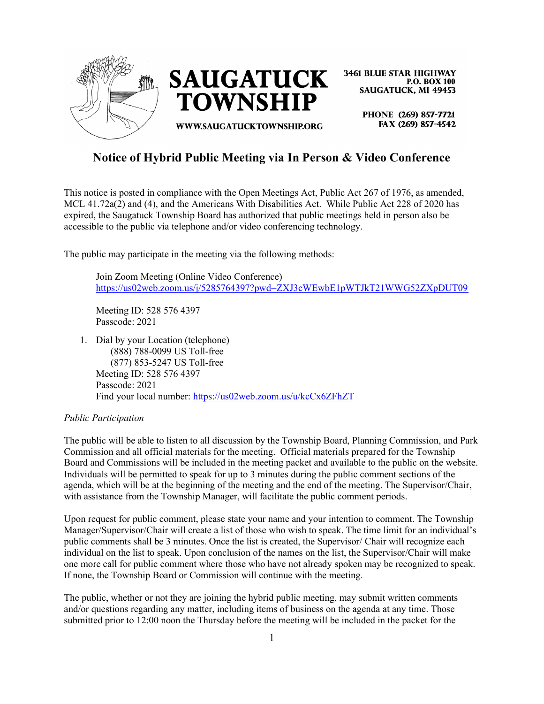

**3461 BLUE STAR HIGHWAY P.O. BOX 100 SAUGATUCK, MI 49453** 

> PHONE (269) 857-7721 FAX (269) 857-4542

# Notice of Hybrid Public Meeting via In Person & Video Conference

This notice is posted in compliance with the Open Meetings Act, Public Act 267 of 1976, as amended, MCL 41.72a(2) and (4), and the Americans With Disabilities Act. While Public Act 228 of 2020 has expired, the Saugatuck Township Board has authorized that public meetings held in person also be accessible to the public via telephone and/or video conferencing technology.

The public may participate in the meeting via the following methods:

Join Zoom Meeting (Online Video Conference) https://us02web.zoom.us/j/5285764397?pwd=ZXJ3cWEwbE1pWTJkT21WWG52ZXpDUT09

Meeting ID: 528 576 4397 Passcode: 2021

1. Dial by your Location (telephone) (888) 788-0099 US Toll-free (877) 853-5247 US Toll-free Meeting ID: 528 576 4397 Passcode: 2021 Find your local number: https://us02web.zoom.us/u/kcCx6ZFhZT

## Public Participation

The public will be able to listen to all discussion by the Township Board, Planning Commission, and Park Commission and all official materials for the meeting. Official materials prepared for the Township Board and Commissions will be included in the meeting packet and available to the public on the website. Individuals will be permitted to speak for up to 3 minutes during the public comment sections of the agenda, which will be at the beginning of the meeting and the end of the meeting. The Supervisor/Chair, with assistance from the Township Manager, will facilitate the public comment periods.

Upon request for public comment, please state your name and your intention to comment. The Township Manager/Supervisor/Chair will create a list of those who wish to speak. The time limit for an individual's public comments shall be 3 minutes. Once the list is created, the Supervisor/ Chair will recognize each individual on the list to speak. Upon conclusion of the names on the list, the Supervisor/Chair will make one more call for public comment where those who have not already spoken may be recognized to speak. If none, the Township Board or Commission will continue with the meeting.

The public, whether or not they are joining the hybrid public meeting, may submit written comments and/or questions regarding any matter, including items of business on the agenda at any time. Those submitted prior to 12:00 noon the Thursday before the meeting will be included in the packet for the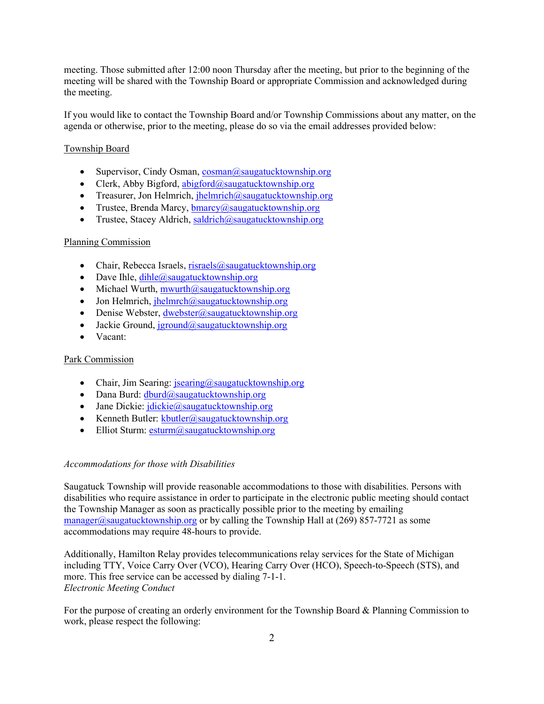meeting. Those submitted after 12:00 noon Thursday after the meeting, but prior to the beginning of the meeting will be shared with the Township Board or appropriate Commission and acknowledged during the meeting.

If you would like to contact the Township Board and/or Township Commissions about any matter, on the agenda or otherwise, prior to the meeting, please do so via the email addresses provided below:

### Township Board

- Supervisor, Cindy Osman,  $cosman(\partial_s)$  saugatucktownship.org
- Clerk, Abby Bigford, abigford@saugatucktownship.org
- Treasurer, Jon Helmrich,  $\mathbf{h}$ elmrich $\mathbf{a}$ saugatucktownship.org
- Trustee, Brenda Marcy,  $b$ marcy $(a)$ saugatucktownship.org
- Trustee, Stacey Aldrich, saldrich@saugatucktownship.org

#### Planning Commission

- Chair, Rebecca Israels, risraels@saugatucktownship.org
- Dave Ihle,  $dihle@saugatucktownship.org$
- $\bullet$  Michael Wurth, mwurth@saugatucktownship.org
- $\bullet$  Jon Helmrich, jhelmrch@saugatucktownship.org
- Denise Webster,  $d$ webster@saugatucktownship.org
- Jackie Ground, jground@saugatucktownship.org
- Vacant:

#### Park Commission

- Chair, Jim Searing:  $\frac{1}{2}$  isearing  $\frac{1}{2}$  saugatucktownship.org
- $\bullet$  Dana Burd: dburd@saugatucktownship.org
- Jane Dickie:  $idickie@saugatucktownship.org$
- Kenneth Butler:  $k$ butler@saugatucktownship.org
- Elliot Sturm:  $esturm@saugatucktownship.org$

#### Accommodations for those with Disabilities

Saugatuck Township will provide reasonable accommodations to those with disabilities. Persons with disabilities who require assistance in order to participate in the electronic public meeting should contact the Township Manager as soon as practically possible prior to the meeting by emailing manager@saugatucktownship.org or by calling the Township Hall at  $(269)$  857-7721 as some accommodations may require 48-hours to provide.

Additionally, Hamilton Relay provides telecommunications relay services for the State of Michigan including TTY, Voice Carry Over (VCO), Hearing Carry Over (HCO), Speech-to-Speech (STS), and more. This free service can be accessed by dialing 7-1-1. Electronic Meeting Conduct

For the purpose of creating an orderly environment for the Township Board & Planning Commission to work, please respect the following: